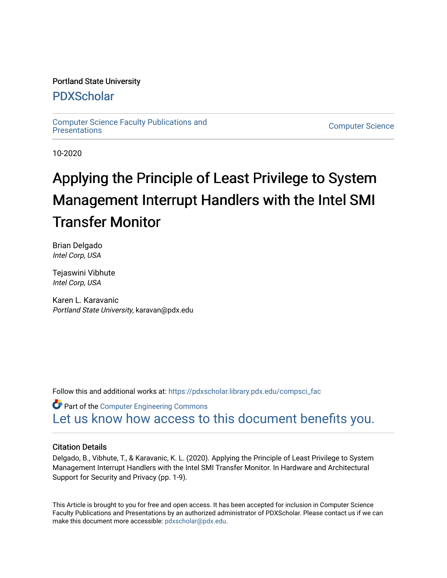# Portland State University

# [PDXScholar](https://pdxscholar.library.pdx.edu/)

[Computer Science Faculty Publications and](https://pdxscholar.library.pdx.edu/compsci_fac) 

**Computer Science** 

10-2020

# Applying the Principle of Least Privilege to System Management Interrupt Handlers with the Intel SMI Transfer Monitor

Brian Delgado Intel Corp, USA

Tejaswini Vibhute Intel Corp, USA

Karen L. Karavanic Portland State University, karavan@pdx.edu

Follow this and additional works at: [https://pdxscholar.library.pdx.edu/compsci\\_fac](https://pdxscholar.library.pdx.edu/compsci_fac?utm_source=pdxscholar.library.pdx.edu%2Fcompsci_fac%2F291&utm_medium=PDF&utm_campaign=PDFCoverPages) 

**C** Part of the Computer Engineering Commons [Let us know how access to this document benefits you.](http://library.pdx.edu/services/pdxscholar-services/pdxscholar-feedback/?ref=https://pdxscholar.library.pdx.edu/compsci_fac/291) 

# Citation Details

Delgado, B., Vibhute, T., & Karavanic, K. L. (2020). Applying the Principle of Least Privilege to System Management Interrupt Handlers with the Intel SMI Transfer Monitor. In Hardware and Architectural Support for Security and Privacy (pp. 1-9).

This Article is brought to you for free and open access. It has been accepted for inclusion in Computer Science Faculty Publications and Presentations by an authorized administrator of PDXScholar. Please contact us if we can make this document more accessible: [pdxscholar@pdx.edu.](mailto:pdxscholar@pdx.edu)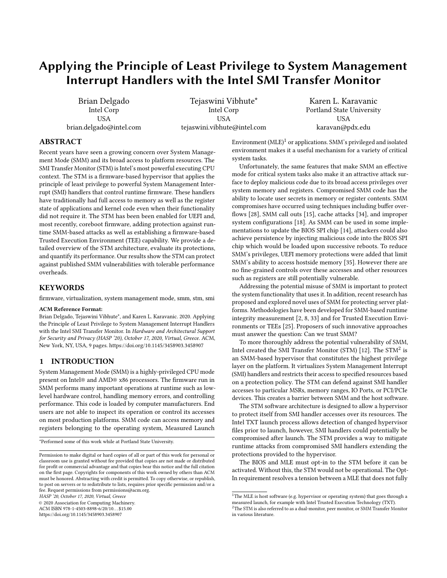# Applying the Principle of Least Privilege to System Management Interrupt Handlers with the Intel SMI Transfer Monitor

Brian Delgado Intel Corp **USA** brian.delgado@intel.com

Tejaswini Vibhute\* Intel Corp **USA** tejaswini.vibhute@intel.com

Karen L. Karavanic Portland State University USA karavan@pdx.edu

# ABSTRACT

Recent years have seen a growing concern over System Management Mode (SMM) and its broad access to platform resources. The SMI Transfer Monitor (STM) is Intel's most powerful executing CPU context. The STM is a firmware-based hypervisor that applies the principle of least privilege to powerful System Management Interrupt (SMI) handlers that control runtime firmware. These handlers have traditionally had full access to memory as well as the register state of applications and kernel code even when their functionality did not require it. The STM has been been enabled for UEFI and, most recently, coreboot firmware, adding protection against runtime SMM-based attacks as well as establishing a firmware-based Trusted Execution Environment (TEE) capability. We provide a detailed overview of the STM architecture, evaluate its protections, and quantify its performance. Our results show the STM can protect against published SMM vulnerabilities with tolerable performance overheads.

#### **KEYWORDS**

firmware, virtualization, system management mode, smm, stm, smi

#### ACM Reference Format:

Brian Delgado, Tejaswini Vibhute\*, and Karen L. Karavanic. 2020. Applying the Principle of Least Privilege to System Management Interrupt Handlers with the Intel SMI Transfer Monitor. In Hardware and Architectural Support for Security and Privacy (HASP '20), October 17, 2020, Virtual, Greece. ACM, New York, NY, USA, [9](#page-9-0) pages.<https://doi.org/10.1145/3458903.3458907>

# 1 INTRODUCTION

System Management Mode (SMM) is a highly-privileged CPU mode present on Intel® and AMD® x86 processors. The firmware run in SMM performs many important operations at runtime such as lowlevel hardware control, handling memory errors, and controlling performance. This code is loaded by computer manufacturers. End users are not able to inspect its operation or control its accesses on most production platforms. SMM code can access memory and registers belonging to the operating system, Measured Launch

HASP '20, October 17, 2020, Virtual, Greece

© 2020 Association for Computing Machinery.

ACM ISBN 978-1-4503-8898-6/20/10. . . \$15.00 <https://doi.org/10.1145/3458903.3458907>

Environment  $(MLE)^1$  $(MLE)^1$  or applications. SMM's privileged and isolated environment makes it a useful mechanism for a variety of critical system tasks.

Unfortunately, the same features that make SMM an effective mode for critical system tasks also make it an attractive attack surface to deploy malicious code due to its broad access privileges over system memory and registers. Compromised SMM code has the ability to locate user secrets in memory or register contents. SMM compromises have occurred using techniques including buffer overflows [\[28\]](#page-9-1), SMM call outs [\[15\]](#page-9-2), cache attacks [\[34\]](#page-9-3), and improper system configurations [\[18\]](#page-9-4). As SMM can be used in some implementations to update the BIOS SPI chip [\[14\]](#page-9-5), attackers could also achieve persistence by injecting malicious code into the BIOS SPI chip which would be loaded upon successive reboots. To reduce SMM's privileges, UEFI memory protections were added that limit SMM's ability to access hostside memory [\[35\]](#page-9-6). However there are no fine-grained controls over these accesses and other resources such as registers are still potentially vulnerable.

Addressing the potential misuse of SMM is important to protect the system functionality that uses it. In addition, recent research has proposed and explored novel uses of SMM for protecting server platforms. Methodologies have been developed for SMM-based runtime integrity measurement [\[2,](#page-8-0) [8,](#page-9-7) [33\]](#page-9-8) and for Trusted Execution Environments or TEEs [\[25\]](#page-9-9). Proposers of such innovative approaches must answer the question: Can we trust SMM?

To more thoroughly address the potential vulnerability of SMM, Intel created the SMI Transfer Monitor (STM) [\[12\]](#page-9-10). The  ${\rm STM}^2$  ${\rm STM}^2$  is an SMM-based hypervisor that constitutes the highest privilege layer on the platform. It virtualizes System Management Interrupt (SMI) handlers and restricts their access to specified resources based on a protection policy. The STM can defend against SMI handler accesses to particular MSRs, memory ranges, IO Ports, or PCI/PCIe devices. This creates a barrier between SMM and the host software.

The STM software architecture is designed to allow a hypervisor to protect itself from SMI handler accesses over its resources. The Intel TXT launch process allows detection of changed hypervisor files prior to launch, however, SMI handlers could potentially be compromised after launch. The STM provides a way to mitigate runtime attacks from compromised SMI handlers extending the protections provided to the hypervisor.

The BIOS and MLE must opt-in to the STM before it can be activated. Without this, the STM would not be operational. The Opt-In requirement resolves a tension between a MLE that does not fully

<sup>\*</sup>Performed some of this work while at Portland State University.

Permission to make digital or hard copies of all or part of this work for personal or classroom use is granted without fee provided that copies are not made or distributed for profit or commercial advantage and that copies bear this notice and the full citation on the first page. Copyrights for components of this work owned by others than ACM must be honored. Abstracting with credit is permitted. To copy otherwise, or republish, to post on servers or to redistribute to lists, requires prior specific permission and/or a fee. Request permissions from permissions@acm.org.

<span id="page-1-0"></span> $^{\rm 1}{\rm The}$  MLE is host software (e.g. hypervisor or operating system) that goes through a measured launch, for example with Intel Trusted Execution Technology (TXT).

<span id="page-1-1"></span> $^2\mathrm{The}\ \mathrm{STM}$  is also referred to as a dual-monitor, peer monitor, or SMM Transfer Monitor in various literature.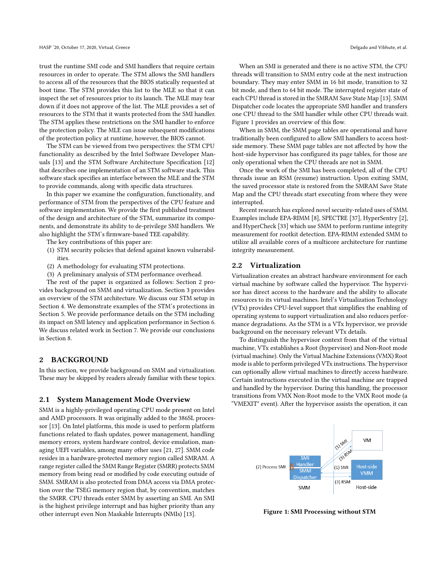trust the runtime SMI code and SMI handlers that require certain resources in order to operate. The STM allows the SMI handlers to access all of the resources that the BIOS statically requested at boot time. The STM provides this list to the MLE so that it can inspect the set of resources prior to its launch. The MLE may tear down if it does not approve of the list. The MLE provides a set of resources to the STM that it wants protected from the SMI handler. The STM applies these restrictions on the SMI handler to enforce the protection policy. The MLE can issue subsequent modifications of the protection policy at runtime, however, the BIOS cannot.

The STM can be viewed from two perspectives: the STM CPU functionality as described by the Intel Software Developer Manuals [\[13\]](#page-9-11) and the STM Software Architecture Specification [\[12\]](#page-9-10) that describes one implementation of an STM software stack. This software stack specifies an interface between the MLE and the STM to provide commands, along with specific data structures.

In this paper we examine the configuration, functionality, and performance of STM from the perspectives of the CPU feature and software implementation. We provide the first published treatment of the design and architecture of the STM, summarize its components, and demonstrate its ability to de-privilege SMI handlers. We also highlight the STM's firmware-based TEE capability.

The key contributions of this paper are:

- (1) STM security policies that defend against known vulnerabilities.
- (2) A methodology for evaluating STM protections.
- (3) A preliminary analysis of STM performance overhead.

The rest of the paper is organized as follows: Section [2](#page-2-0) provides background on SMM and virtualization. Section [3](#page-3-0) provides an overview of the STM architecture. We discuss our STM setup in Section [4.](#page-5-0) We demonstrate examples of the STM's protections in Section [5.](#page-5-1) We provide performance details on the STM including its impact on SMI latency and application performance in Section [6.](#page-7-0) We discuss related work in Section [7.](#page-8-1) We provide our conclusions in Section [8.](#page-8-2)

#### <span id="page-2-0"></span>2 BACKGROUND

In this section, we provide background on SMM and virtualization. These may be skipped by readers already familiar with these topics.

#### <span id="page-2-2"></span>2.1 System Management Mode Overview

SMM is a highly-privileged operating CPU mode present on Intel and AMD processors. It was originally added to the 386SL processor [\[13\]](#page-9-11). On Intel platforms, this mode is used to perform platform functions related to flash updates, power management, handling memory errors, system hardware control, device emulation, managing UEFI variables, among many other uses [\[21,](#page-9-12) [27\]](#page-9-13). SMM code resides in a hardware-protected memory region called SMRAM. A range register called the SMM Range Register (SMRR) protects SMM memory from being read or modified by code executing outside of SMM. SMRAM is also protected from DMA access via DMA protection over the TSEG memory region that, by convention, matches the SMRR. CPU threads enter SMM by asserting an SMI. An SMI is the highest privilege interrupt and has higher priority than any other interrupt even Non Maskable Interrupts (NMIs) [\[13\]](#page-9-11).

When an SMI is generated and there is no active STM, the CPU threads will transition to SMM entry code at the next instruction boundary. They may enter SMM in 16 bit mode, transition to 32 bit mode, and then to 64 bit mode. The interrupted register state of each CPU thread is stored in the SMRAM Save State Map [\[13\]](#page-9-11). SMM Dispatcher code locates the appropriate SMI handler and transfers one CPU thread to the SMI handler while other CPU threads wait. Figure [1](#page-2-1) provides an overview of this flow.

When in SMM, the SMM page tables are operational and have traditionally been configured to allow SMI handlers to access hostside memory. These SMM page tables are not affected by how the host-side hypervisor has configured its page tables, for those are only operational when the CPU threads are not in SMM.

Once the work of the SMI has been completed, all of the CPU threads issue an RSM (resume) instruction. Upon exiting SMM, the saved processor state is restored from the SMRAM Save State Map and the CPU threads start executing from where they were interrupted.

Recent research has explored novel security-related uses of SMM. Examples include EPA-RIMM [\[8\]](#page-9-7), SPECTRE [\[37\]](#page-9-14), HyperSentry [\[2\]](#page-8-0), and HyperCheck [\[33\]](#page-9-8) which use SMM to perform runtime integrity measurement for rootkit detection. EPA-RIMM extended SMM to utilize all available cores of a multicore architecture for runtime integrity measurement.

#### 2.2 Virtualization

Virtualization creates an abstract hardware environment for each virtual machine by software called the hypervisor. The hypervisor has direct access to the hardware and the ability to allocate resources to its virtual machines. Intel's Virtualization Technology (VTx) provides CPU-level support that simplifies the enabling of operating systems to support virtualization and also reduces performance degradations. As the STM is a VTx hypervisor, we provide background on the necessary relevant VTx details.

To distinguish the hypervisor context from that of the virtual machine, VTx establishes a Root (hypervisor) and Non-Root mode (virtual machine). Only the Virtual Machine Extensions (VMX) Root mode is able to perform privileged VTx instructions. The hypervisor can optionally allow virtual machines to directly access hardware. Certain instructions executed in the virtual machine are trapped and handled by the hypervisor. During this handling, the processor transitions from VMX Non-Root mode to the VMX Root mode (a "VMEXIT" event). After the hypervisor assists the operation, it can

<span id="page-2-1"></span>

Figure 1: SMI Processing without STM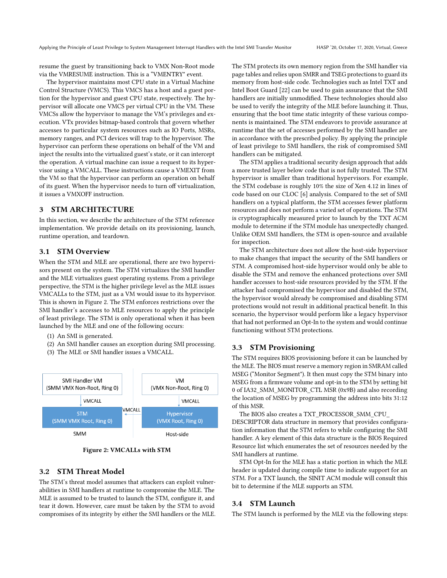resume the guest by transitioning back to VMX Non-Root mode via the VMRESUME instruction. This is a "VMENTRY" event.

The hypervisor maintains most CPU state in a Virtual Machine Control Structure (VMCS). This VMCS has a host and a guest portion for the hypervisor and guest CPU state, respectively. The hypervisor will allocate one VMCS per virtual CPU in the VM. These VMCSs allow the hypervisor to manage the VM's privileges and execution. VTx provides bitmap-based controls that govern whether accesses to particular system resources such as IO Ports, MSRs, memory ranges, and PCI devices will trap to the hypervisor. The hypervisor can perform these operations on behalf of the VM and inject the results into the virtualized guest's state, or it can intercept the operation. A virtual machine can issue a request to its hypervisor using a VMCALL. These instructions cause a VMEXIT from the VM so that the hypervisor can perform an operation on behalf of its guest. When the hypervisor needs to turn off virtualization, it issues a VMXOFF instruction.

#### <span id="page-3-0"></span>3 STM ARCHITECTURE

In this section, we describe the architecture of the STM reference implementation. We provide details on its provisioning, launch, runtime operation, and teardown.

# 3.1 STM Overview

When the STM and MLE are operational, there are two hypervisors present on the system. The STM virtualizes the SMI handler and the MLE virtualizes guest operating systems. From a privilege perspective, the STM is the higher privilege level as the MLE issues VMCALLs to the STM, just as a VM would issue to its hypervisor. This is shown in Figure [2.](#page-3-1) The STM enforces restrictions over the SMI handler's accesses to MLE resources to apply the principle of least privilege. The STM is only operational when it has been launched by the MLE and one of the following occurs:

- (1) An SMI is generated.
- (2) An SMI handler causes an exception during SMI processing.
- (3) The MLE or SMI handler issues a VMCALL.

<span id="page-3-1"></span>

Figure 2: VMCALLs with STM

# 3.2 STM Threat Model

The STM's threat model assumes that attackers can exploit vulnerabilities in SMI handlers at runtime to compromise the MLE. The MLE is assumed to be trusted to launch the STM, configure it, and tear it down. However, care must be taken by the STM to avoid compromises of its integrity by either the SMI handlers or the MLE.

The STM protects its own memory region from the SMI handler via page tables and relies upon SMRR and TSEG protections to guard its memory from host-side code. Technologies such as Intel TXT and Intel Boot Guard [\[22\]](#page-9-15) can be used to gain assurance that the SMI handlers are initially unmodified. These technologies should also be used to verify the integrity of the MLE before launching it. Thus, ensuring that the boot time static integrity of these various components is maintained. The STM endeavors to provide assurance at runtime that the set of accesses performed by the SMI handler are in accordance with the prescribed policy. By applying the principle of least privilege to SMI handlers, the risk of compromised SMI handlers can be mitigated.

The STM applies a traditional security design approach that adds a more trusted layer below code that is not fully trusted. The STM hypervisor is smaller than traditional hypervisors. For example, the STM codebase is roughly 10% the size of Xen 4.12 in lines of code based on our CLOC [\[6\]](#page-8-3) analysis. Compared to the set of SMI handlers on a typical platform, the STM accesses fewer platform resources and does not perform a varied set of operations. The STM is cryptographically measured prior to launch by the TXT ACM module to determine if the STM module has unexpectedly changed. Unlike OEM SMI handlers, the STM is open-source and available for inspection.

The STM architecture does not allow the host-side hypervisor to make changes that impact the security of the SMI handlers or STM. A compromised host-side hypervisor would only be able to disable the STM and remove the enhanced protections over SMI handler accesses to host-side resources provided by the STM. If the attacker had compromised the hypervisor and disabled the STM, the hypervisor would already be compromised and disabling STM protections would not result in additional practical benefit. In this scenario, the hypervisor would perform like a legacy hypervisor that had not performed an Opt-In to the system and would continue functioning without STM protections.

#### 3.3 STM Provisioning

The STM requires BIOS provisioning before it can be launched by the MLE. The BIOS must reserve a memory region in SMRAM called MSEG ("Monitor Segment"). It then must copy the STM binary into MSEG from a firmware volume and opt-in to the STM by setting bit 0 of IA32\_SMM\_MONITOR\_CTL MSR (0x9B) and also recording the location of MSEG by programming the address into bits 31:12 of this MSR.

The BIOS also creates a TXT\_PROCESSOR\_SMM\_CPU\_

DESCRIPTOR data structure in memory that provides configuration information that the STM refers to while configuring the SMI handler. A key element of this data structure is the BIOS Required Resource list which enumerates the set of resources needed by the SMI handlers at runtime.

STM Opt-In for the MLE has a static portion in which the MLE header is updated during compile time to indicate support for an STM. For a TXT launch, the SINIT ACM module will consult this bit to determine if the MLE supports an STM.

#### 3.4 STM Launch

The STM launch is performed by the MLE via the following steps: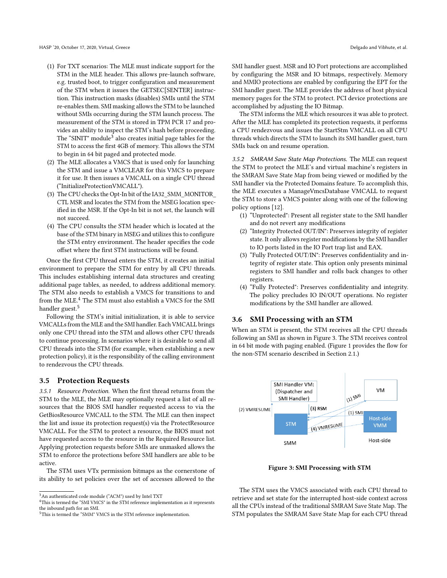- (1) For TXT scenarios: The MLE must indicate support for the STM in the MLE header. This allows pre-launch software, e.g. trusted boot, to trigger configuration and measurement of the STM when it issues the GETSEC[SENTER] instruction. This instruction masks (disables) SMIs until the STM re-enables them. SMI masking allows the STM to be launched without SMIs occurring during the STM launch process. The measurement of the STM is stored in TPM PCR 17 and provides an ability to inspect the STM's hash before proceeding. The "SINIT" module $^3$  $^3$  also creates initial page tables for the STM to access the first 4GB of memory. This allows the STM to begin in 64 bit paged and protected mode.
- (2) The MLE allocates a VMCS that is used only for launching the STM and issue a VMCLEAR for this VMCS to prepare it for use. It then issues a VMCALL on a single CPU thread ("InitializeProtectionVMCALL").
- (3) The CPU checks the Opt-In bit of the IA32\_SMM\_MONITOR\_ CTL MSR and locates the STM from the MSEG location specified in the MSR. If the Opt-In bit is not set, the launch will not succeed.
- (4) The CPU consults the STM header which is located at the base of the STM binary in MSEG and utilizes this to configure the STM entry environment. The header specifies the code offset where the first STM instructions will be found.

Once the first CPU thread enters the STM, it creates an initial environment to prepare the STM for entry by all CPU threads. This includes establishing internal data structures and creating additional page tables, as needed, to address additional memory. The STM also needs to establish a VMCS for transitions to and from the MLE.<sup>[4](#page-4-1)</sup> The STM must also establish a VMCS for the SMI handler guest.<sup>[5](#page-4-2)</sup>

Following the STM's initial initialization, it is able to service VMCALLs from the MLE and the SMI handler. Each VMCALL brings only one CPU thread into the STM and allows other CPU threads to continue processing. In scenarios where it is desirable to send all CPU threads into the STM (for example, when establishing a new protection policy), it is the responsibility of the calling environment to rendezvous the CPU threads.

#### 3.5 Protection Requests

3.5.1 Resource Protection. When the first thread returns from the STM to the MLE, the MLE may optionally request a list of all resources that the BIOS SMI handler requested access to via the GetBiosResource VMCALL to the STM. The MLE can then inspect the list and issue its protection request(s) via the ProtectResource VMCALL. For the STM to protect a resource, the BIOS must not have requested access to the resource in the Required Resource list. Applying protection requests before SMIs are unmasked allows the STM to enforce the protections before SMI handlers are able to be active.

The STM uses VTx permission bitmaps as the cornerstone of its ability to set policies over the set of accesses allowed to the

SMI handler guest. MSR and IO Port protections are accomplished by configuring the MSR and IO bitmaps, respectively. Memory and MMIO protections are enabled by configuring the EPT for the SMI handler guest. The MLE provides the address of host physical memory pages for the STM to protect. PCI device protections are accomplished by adjusting the IO Bitmap.

The STM informs the MLE which resources it was able to protect. After the MLE has completed its protection requests, it performs a CPU rendezvous and issues the StartStm VMCALL on all CPU threads which directs the STM to launch its SMI handler guest, turn SMIs back on and resume operation.

<span id="page-4-4"></span>3.5.2 SMRAM Save State Map Protections. The MLE can request the STM to protect the MLE's and virtual machine's registers in the SMRAM Save State Map from being viewed or modified by the SMI handler via the Protected Domains feature. To accomplish this, the MLE executes a ManageVmcsDatabase VMCALL to request the STM to store a VMCS pointer along with one of the following policy options [\[12\]](#page-9-10).

- (1) "Unprotected": Present all register state to the SMI handler and do not revert any modifications
- (2) "Integrity Protected OUT/IN": Preserves integrity of register state. It only allows register modifications by the SMI handler to IO ports listed in the IO Port trap list and EAX.
- (3) "Fully Protected OUT/IN": Preserves confidentiality and integrity of register state. This option only presents minimal registers to SMI handler and rolls back changes to other registers.
- (4) "Fully Protected": Preserves confidentiality and integrity. The policy precludes IO IN/OUT operations. No register modifications by the SMI handler are allowed.

#### 3.6 SMI Processing with an STM

When an STM is present, the STM receives all the CPU threads following an SMI as shown in Figure [3.](#page-4-3) The STM receives control in 64 bit mode with paging enabled. (Figure [1](#page-2-1) provides the flow for the non-STM scenario described in Section [2.1.](#page-2-2))

<span id="page-4-3"></span>

Figure 3: SMI Processing with STM

The STM uses the VMCS associated with each CPU thread to retrieve and set state for the interrupted host-side context across all the CPUs instead of the traditional SMRAM Save State Map. The STM populates the SMRAM Save State Map for each CPU thread

<span id="page-4-0"></span> $^3 \mathrm{An}$  authenticated code module ("ACM") used by Intel TXT

<span id="page-4-1"></span> $^4{\rm This}$  is termed the "SMI VMCS" in the STM reference implementation as it represents the inbound path for an SMI.

<span id="page-4-2"></span><sup>5</sup>This is termed the "SMM" VMCS in the STM reference implementation.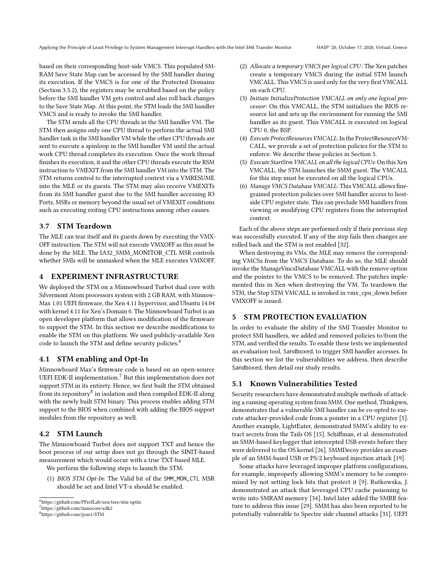based on their corresponding host-side VMCS. This populated SM-RAM Save State Map can be accessed by the SMI handler during its execution. If the VMCS is for one of the Protected Domains (Section [3.5.2\)](#page-4-4), the registers may be scrubbed based on the policy before the SMI handler VM gets control and also roll back changes to the Save State Map. At this point, the STM loads the SMI handler VMCS and is ready to invoke the SMI handler.

The STM sends all the CPU threads in the SMI handler VM. The STM then assigns only one CPU thread to perform the actual SMI handler task in the SMI handler VM while the other CPU threads are sent to execute a spinloop in the SMI handler VM until the actual work CPU thread completes its execution. Once the work thread finishes its execution, it and the other CPU threads execute the RSM instruction to VMEXIT from the SMI handler VM into the STM. The STM returns control to the interrupted context via a VMRESUME into the MLE or its guests. The STM may also receive VMEXITs from its SMI handler guest due to the SMI handler accessing IO Ports, MSRs or memory beyond the usual set of VMEXIT conditions such as executing exiting CPU instructions among other causes.

#### 3.7 STM Teardown

The MLE can tear itself and its guests down by executing the VMX-OFF instruction. The STM will not execute VMXOFF as this must be done by the MLE. The IA32\_SMM\_MONITOR\_CTL MSR controls whether SMIs will be unmasked when the MLE executes VMXOFF.

# <span id="page-5-0"></span>4 EXPERIMENT INFRASTRUCTURE

We deployed the STM on a Minnowboard Turbot dual core with Silvermont Atom processors system with 2 GB RAM, with Minnow-Max 1.01 UEFI firmware, the Xen 4.11 hypervisor, and Ubuntu 14.04 with kernel 4.11 for Xen's Domain 0. The Minnowboard Turbot is an open developer platform that allows modification of the firmware to support the STM. In this section we describe modifications to enable the STM on this platform. We used publicly-available Xen code to launch the STM and define security policies.<sup>[6](#page-5-2)</sup>

#### 4.1 STM enabling and Opt-In

Minnowboard Max's firmware code is based on an open-source UEFI EDK-II implementation. $^7$  $^7$  But this implementation does not support STM in its entirety. Hence, we first built the STM obtained from its repository $^8$  $^8$  in isolation and then compiled EDK-II along with the newly built STM binary. This process enables adding STM support to the BIOS when combined with adding the BIOS support modules from the repository as well.

# 4.2 STM Launch

The Minnowboard Turbot does not support TXT and hence the boot process of our setup does not go through the SINIT-based measurement which would occur with a true TXT-based MLE.

We perform the following steps to launch the STM:

(1) BIOS STM Opt-In: The Valid bit of the SMM\_MON\_CTL MSR should be set and Intel VT-x should be enabled.

<span id="page-5-3"></span><sup>7</sup>https://github.com/tianocore/edk2

- (2) Allocate a temporary VMCS per logical CPU: The Xen patches create a temporary VMCS during the initial STM launch VMCALL. This VMCS is used only for the very first VMCALL on each CPU.
- (3) Initiate InitializeProtection VMCALL on only one logical processor: On this VMCALL, the STM initializes the BIOS resource list and sets up the environment for running the SMI handler as its guest. This VMCALL is executed on logical CPU 0, the BSP.
- (4) Execute ProtectResources VMCALL: In the ProtectResourceVM-CALL, we provide a set of protection policies for the STM to enforce. We describe these policies in Section [5.](#page-5-1)
- (5) Execute StartStm VMCALL on all the logical CPUs: On this Xen VMCALL, the STM launches the SMM guest. The VMCALL for this step must be executed on all the logical CPUs.
- (6) Manage VMCS Database VMCALL: This VMCALL allows finegrained protection policies over SMI handler access to hostside CPU register state. This can preclude SMI handlers from viewing or modifying CPU registers from the interrupted context.

Each of the above steps are performed only if their previous step was successfully executed. If any of the step fails then changes are rolled back and the STM is not enabled [\[32\]](#page-9-16).

When destroying its VMs, the MLE may remove the corresponding VMCSs from the VMCS Database. To do so, the MLE should invoke the ManageVmcsDatabase VMCALL with the remove option and the pointer to the VMCS to be removed. The patches implemented this in Xen when destroying the VM. To teardown the STM, the Stop STM VMCALL is invoked in vmx\_cpu\_down before VMXOFF is issued.

# <span id="page-5-1"></span>5 STM PROTECTION EVALUATION

In order to evaluate the ability of the SMI Transfer Monitor to protect SMI handlers, we added and removed policies to/from the STM, and verified the results. To enable these tests we implemented an evaluation tool, Sandboxed, to trigger SMI handler accesses. In this section we list the vulnerabilities we address, then describe Sandboxed, then detail our study results.

#### 5.1 Known Vulnerabilities Tested

Security researchers have demonstrated multiple methods of attacking a running operating system from SMM. One method, Thinkpwn, demonstrates that a vulnerable SMI handler can be co-opted to execute attacker-provided code from a pointer in a CPU register [\[5\]](#page-8-4). Another example, LightEater, demonstrated SMM's ability to extract secrets from the Tails OS [\[15\]](#page-9-2). Schiffman, et al. demonstrated an SMM-based keylogger that intercepted USB events before they were delivered to the OS kernel [\[26\]](#page-9-17). SMMDecoy provides an example of an SMM-based USB or PS/2 keyboard injection attack [\[19\]](#page-9-18).

Some attacks have leveraged improper platform configurations, for example, improperly allowing SMM's memory to be compromised by not setting lock bits that protect it [\[9\]](#page-9-19). Rutkowska, J. demonstrated an attack that leveraged CPU cache poisoning to write into SMRAM memory [\[34\]](#page-9-3). Intel later added the SMRR feature to address this issue [\[29\]](#page-9-20). SMM has also been reported to be potentially vulnerable to Spectre side channel attacks [\[31\]](#page-9-21). UEFI

<span id="page-5-2"></span><sup>6</sup>https://github.com/PPerfLab/xen/tree/stm-optin

<span id="page-5-4"></span><sup>8</sup>https://github.com/jyao1/STM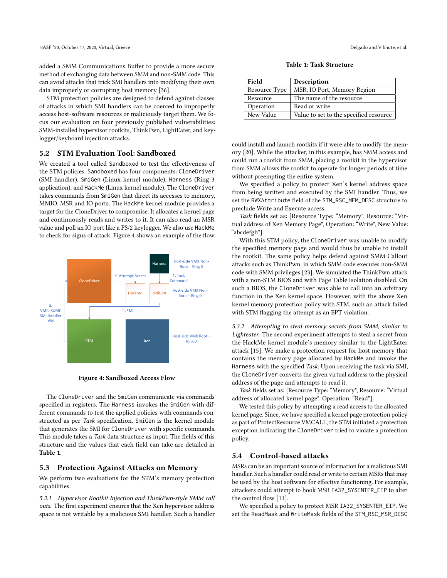added a SMM Communications Buffer to provide a more secure method of exchanging data between SMM and non-SMM code. This can avoid attacks that trick SMI handlers into modifying their own data improperly or corrupting host memory [\[36\]](#page-9-22).

STM protection policies are designed to defend against classes of attacks in which SMI handlers can be coerced to improperly access host-software resources or maliciously target them. We focus our evaluation on four previously published vulnerabilities: SMM-installed hypervisor rootkits, ThinkPwn, LightEater, and keylogger/keyboard injection attacks.

#### 5.2 STM Evaluation Tool: Sandboxed

We created a tool called Sandboxed to test the effectiveness of the STM policies. Sandboxed has four components: CloneDriver (SMI handler), SmiGen (Linux kernel module), Harness (Ring 3 application), and HackMe (Linux kernel module). The CloneDriver takes commands from SmiGen that direct its accesses to memory, MMIO, MSR and IO ports. The HackMe kernel module provides a target for the CloneDriver to compromise. It allocates a kernel page and continuously reads and writes to it. It can also read an MSR value and poll an IO port like a PS/2 keylogger. We also use HackMe to check for signs of attack. Figure [4](#page-6-0) shows an example of the flow.

<span id="page-6-0"></span>

Figure 4: Sandboxed Access Flow

The CloneDriver and the SmiGen communicate via commands specified in registers. The Harness invokes the SmiGen with different commands to test the applied policies with commands constructed as per Task specification. SmiGen is the kernel module that generates the SMI for CloneDriver with specific commands. This module takes a Task data structure as input. The fields of this structure and the values that each field can take are detailed in Table [1](#page-6-1).

#### 5.3 Protection Against Attacks on Memory

We perform two evaluations for the STM's memory protection capabilities.

5.3.1 Hypervisor Rootkit Injection and ThinkPwn-style SMM call outs. The first experiment ensures that the Xen hypervisor address space is not writable by a malicious SMI handler. Such a handler

Table 1: Task Structure

<span id="page-6-1"></span>

| Field         | Description                            |
|---------------|----------------------------------------|
| Resource Type | MSR, IO Port, Memory Region            |
| Resource      | The name of the resource               |
| Operation     | Read or write                          |
| New Value     | Value to set to the specified resource |

could install and launch rootkits if it were able to modify the memory [\[20\]](#page-9-23). While the attacker, in this example, has SMM access and could run a rootkit from SMM, placing a rootkit in the hypervisor from SMM allows the rootkit to operate for longer periods of time without preempting the entire system.

We specified a policy to protect Xen's kernel address space from being written and executed by the SMI handler. Thus, we set the RWXAttribute field of the STM\_RSC\_MEM\_DESC structure to preclude Write and Execute access.

Task fields set as: [Resource Type: "Memory", Resource: "Virtual address of Xen Memory Page", Operation: "Write", New Value: "abcdefgh"].

With this STM policy, the CloneDriver was unable to modify the specified memory page and would thus be unable to install the rootkit. The same policy helps defend against SMM Callout attacks such as ThinkPwn, in which SMM code executes non-SMM code with SMM privileges [\[23\]](#page-9-24). We simulated the ThinkPwn attack with a non-STM BIOS and with Page Table Isolation disabled. On such a BIOS, the CloneDriver was able to call into an arbitrary function in the Xen kernel space. However, with the above Xen kernel memory protection policy with STM, such an attack failed with STM flagging the attempt as an EPT violation.

5.3.2 Attempting to steal memory secrets from SMM, similar to Lighteater. The second experiment attempts to steal a secret from the HackMe kernel module's memory similar to the LightEater attack [\[15\]](#page-9-2). We make a protection request for host memory that contains the memory page allocated by HackMe and invoke the Harness with the specified Task. Upon receiving the task via SMI, the CloneDriver converts the given virtual address to the physical address of the page and attempts to read it.

Task fields set as: [Resource Type: "Memory", Resource: "Virtual address of allocated kernel page", Operation: "Read"].

We tested this policy by attempting a read access to the allocated kernel page. Since, we have specified a kernel page protection policy as part of ProtectResource VMCALL, the STM initiated a protection exception indicating the CloneDriver tried to violate a protection policy.

#### 5.4 Control-based attacks

MSRs can be an important source of information for a malicious SMI handler. Such a handler could read or write to certain MSRs that may be used by the host software for effective functioning. For example, attackers could attempt to hook MSR IA32\_SYSENTER\_EIP to alter the control flow [\[11\]](#page-9-25).

We specified a policy to protect MSR IA32\_SYSENTER\_EIP. We set the ReadMask and WriteMask fields of the STM\_RSC\_MSR\_DESC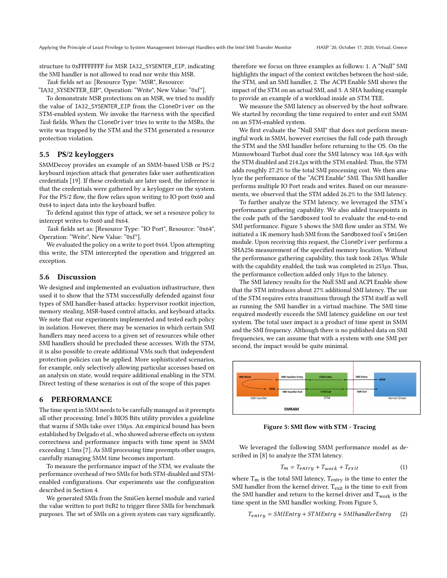structure to 0xFFFFFFFF for MSR IA32\_SYSENTER\_EIP, indicating the SMI handler is not allowed to read nor write this MSR.

Task fields set as: [Resource Type: "MSR", Resource:

"IA32\_SYSENTER\_EIP", Operation: "Write", New Value: "0xf"]. To demonstrate MSR protections on an MSR, we tried to modify

the value of IA32\_SYSENTER\_EIP from the CloneDriver on the STM-enabled system. We invoke the Harness with the specified Task fields. When the CloneDriver tries to write to the MSRs, the write was trapped by the STM and the STM generated a resource protection violation.

#### 5.5 PS/2 keyloggers

SMMDecoy provides an example of an SMM-based USB or PS/2 keyboard injection attack that generates fake user authentication credentials [\[19\]](#page-9-18). If these credentials are later used, the inference is that the credentials were gathered by a keylogger on the system. For the PS/2 flow, the flow relies upon writing to IO port 0x60 and 0x64 to inject data into the keyboard buffer.

To defend against this type of attack, we set a resource policy to intercept writes to 0x60 and 0x64.

Task fields set as: [Resource Type: "IO Port", Resource: "0x64", Operation: "Write", New Value: "0xf"].

We evaluated the policy on a write to port 0x64. Upon attempting this write, the STM intercepted the operation and triggered an exception.

#### 5.6 Discussion

We designed and implemented an evaluation infrastructure, then used it to show that the STM successfully defended against four types of SMI handler-based attacks: hypervisor rootkit injection, memory stealing, MSR-based control attacks, and keyboard attacks. We note that our experiments implemented and tested each policy in isolation. However, there may be scenarios in which certain SMI handlers may need access to a given set of resources while other SMI handlers should be precluded these accesses. With the STM, it is also possible to create additional VMs such that independent protection policies can be applied. More sophisticated scenarios, for example, only selectively allowing particular accesses based on an analysis on state, would require additional enabling in the STM. Direct testing of these scenarios is out of the scope of this paper.

#### <span id="page-7-0"></span>6 PERFORMANCE

The time spent in SMM needs to be carefully managed as it preempts all other processing. Intel's BIOS Bits utility provides a guideline that warns if SMIs take over  $150\mu s$ . An empirical bound has been established by Delgado et al., who showed adverse effects on system correctness and performance impacts with time spent in SMM exceeding 1.5ms [\[7\]](#page-9-26). As SMI processing time preempts other usages, carefully managing SMM time becomes important.

To measure the performance impact of the STM, we evaluate the performance overhead of two SMIs for both STM-disabled and STMenabled configurations. Our experiments use the configuration described in Section [4.](#page-5-0)

We generated SMIs from the SmiGen kernel module and varied the value written to port 0xB2 to trigger three SMIs for benchmark purposes. The set of SMIs on a given system can vary significantly, therefore we focus on three examples as follows: 1. A "Null" SMI highlights the impact of the context switches between the host-side, the STM, and an SMI handler, 2. The ACPI Enable SMI shows the impact of the STM on an actual SMI, and 3. A SHA hashing example to provide an example of a workload inside an STM TEE.

We measure the SMI latency as observed by the host software. We started by recording the time required to enter and exit SMM on an STM-enabled system.

We first evaluate the "Null SMI" that does not perform meaningful work in SMM, however exercises the full code path through the STM and the SMI handler before returning to the OS. On the Minnowboard Turbot dual core the SMI latency was 168.4µs with the STM disabled and 214.2µs with the STM enabled. Thus, the STM adds roughly 27.2% to the total SMI processing cost. We then analyze the performance of the "ACPI Enable" SMI. This SMI handler performs multiple IO Port reads and writes. Based on our measurements, we observed that the STM added 26.2% to the SMI latency.

To further analyze the STM latency, we leveraged the STM's performance gathering capability. We also added tracepoints in the code path of the Sandboxed tool to evaluate the end-to-end SMI performance. Figure [5](#page-7-1) shows the SMI flow under an STM. We initiated a 1K memory hash SMI from the Sandboxed tool's SmiGen module. Upon receiving this request, the CloneDriver performs a SHA256 measurement of the specified memory location. Without the performance gathering capability, this task took  $243\mu s$ . While with the capability enabled, the task was completed in  $253\mu s$ . Thus, the performance collection added only 10µs to the latency.

The SMI latency results for the Null SMI and ACPI Enable show that the STM introduces about 27% additional SMI latency. The use of the STM requires extra transitions through the STM itself as well as running the SMI handler in a virtual machine. The SMI time required modestly exceeds the SMI latency guideline on our test system. The total user impact is a product of time spent in SMM and the SMI frequency. Although there is no published data on SMI frequencies, we can assume that with a system with one SMI per second, the impact would be quite minimal.

<span id="page-7-1"></span>

Figure 5: SMI flow with STM - Tracing

We leveraged the following SMM performance model as described in [\[8\]](#page-9-7) to analyze the STM latency.

$$
T_m = T_{entry} + T_{work} + T_{exit} \tag{1}
$$

where  $T_m$  is the total SMI latency,  $T_{entry}$  is the time to enter the SMI handler from the kernel driver,  $T_{\text{exit}}$  is the time to exit from the SMI handler and return to the kernel driver and  $T_{work}$  is the time spent in the SMI handler working. From Figure [5,](#page-7-1)

$$
T_{entry} = SMIENTy + STMEntry + SMInandlerEntry \qquad (2)
$$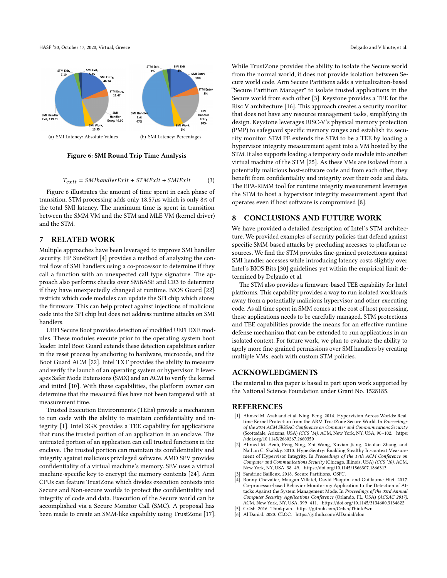HASP '20, October 17, 2020, Virtual, Greece and Vibhute, et al. and Vibhute, et al.

<span id="page-8-5"></span>

Figure 6: SMI Round Trip Time Analysis

$$
T_{exit} = SMI handlerExit + STMExit + SMExit \tag{3}
$$

Figure [6](#page-8-5) illustrates the amount of time spent in each phase of transition. STM processing adds only  $18.57\mu s$  which is only 8% of the total SMI latency. The maximum time is spent in transition between the SMM VM and the STM and MLE VM (kernel driver) and the STM.

#### <span id="page-8-1"></span>7 RELATED WORK

Multiple approaches have been leveraged to improve SMI handler security. HP SureStart [\[4\]](#page-8-6) provides a method of analyzing the control flow of SMI handlers using a co-processor to determine if they call a function with an unexpected call type signature. The approach also performs checks over SMBASE and CR3 to determine if they have unexpectedly changed at runtime. BIOS Guard [\[22\]](#page-9-15) restricts which code modules can update the SPI chip which stores the firmware. This can help protect against injections of malicious code into the SPI chip but does not address runtime attacks on SMI handlers.

UEFI Secure Boot provides detection of modified UEFI DXE modules. These modules execute prior to the operating system boot loader. Intel Boot Guard extends these detection capabilities earlier in the reset process by anchoring to hardware, microcode, and the Boot Guard ACM [\[22\]](#page-9-15). Intel TXT provides the ability to measure and verify the launch of an operating system or hypervisor. It leverages Safer Mode Extensions (SMX) and an ACM to verify the kernel and initrd [\[10\]](#page-9-27). With these capabilities, the platform owner can determine that the measured files have not been tampered with at measurement time.

Trusted Execution Environments (TEEs) provide a mechanism to run code with the ability to maintain confidentiality and integrity [\[1\]](#page-8-7). Intel SGX provides a TEE capability for applications that runs the trusted portion of an application in an enclave. The untrusted portion of an application can call trusted functions in the enclave. The trusted portion can maintain its confidentiality and integrity against malicious privileged software. AMD SEV provides confidentiality of a virtual machine's memory. SEV uses a virtual machine-specific key to encrypt the memory contents [\[24\]](#page-9-28). Arm CPUs can feature TrustZone which divides execution contexts into Secure and Non-secure worlds to protect the confidentiality and integrity of code and data. Execution of the Secure world can be accomplished via a Secure Monitor Call (SMC). A proposal has been made to create an SMM-like capability using TrustZone [\[17\]](#page-9-29). While TrustZone provides the ability to isolate the Secure world from the normal world, it does not provide isolation between Secure world code. Arm Secure Partitions adds a virtualization-based "Secure Partition Manager" to isolate trusted applications in the Secure world from each other [\[3\]](#page-8-8). Keystone provides a TEE for the Risc V architecture [\[16\]](#page-9-30). This approach creates a security monitor that does not have any resource management tasks, simplifying its design. Keystone leverages RISC-V's physical memory protection (PMP) to safeguard specific memory ranges and establish its security monitor. STM PE extends the STM to be a TEE by loading a hypervisor integrity measurement agent into a VM hosted by the STM. It also supports loading a temporary code module into another virtual machine of the STM [\[25\]](#page-9-9). As these VMs are isolated from a potentially malicious host-software code and from each other, they benefit from confidentiality and integrity over their code and data. The EPA-RIMM tool for runtime integrity measurement leverages the STM to host a hypervisor integrity measurement agent that operates even if host software is compromised [\[8\]](#page-9-7).

#### <span id="page-8-2"></span>8 CONCLUSIONS AND FUTURE WORK

We have provided a detailed description of Intel's STM architecture. We provided examples of security policies that defend against specific SMM-based attacks by precluding accesses to platform resources. We find the STM provides fine-grained protections against SMI handler accesses while introducing latency costs slightly over Intel's BIOS Bits [\[30\]](#page-9-31) guidelines yet within the empirical limit determined by Delgado et al.

The STM also provides a firmware-based TEE capability for Intel platforms. This capability provides a way to run isolated workloads away from a potentially malicious hypervisor and other executing code. As all time spent in SMM comes at the cost of host processing, these applications needs to be carefully managed. STM protections and TEE capabilities provide the means for an effective runtime defense mechanism that can be extended to run applications in an isolated context. For future work, we plan to evaluate the ability to apply more fine-grained permissions over SMI handlers by creating multiple VMs, each with custom STM policies.

# ACKNOWLEDGMENTS

The material in this paper is based in part upon work supported by the National Science Foundation under Grant No. 1528185.

#### **REFERENCES**

- <span id="page-8-7"></span>[1] Ahmed M. Azab and et al. Ning, Peng. 2014. Hypervision Across Worlds: Realtime Kernel Protection from the ARM TrustZone Secure World. In Proceedings of the 2014 ACM SIGSAC Conference on Computer and Communications Security (Scottsdale, Arizona, USA) (CCS '14). ACM, New York, NY, USA, 90–102. [https:](https://doi.org/10.1145/2660267.2660350) [//doi.org/10.1145/2660267.2660350](https://doi.org/10.1145/2660267.2660350)
- <span id="page-8-0"></span>[2] Ahmed M. Azab, Peng Ning, Zhi Wang, Xuxian Jiang, Xiaolan Zhang, and Nathan C. Skalsky. 2010. HyperSentry: Enabling Stealthy In-context Measurement of Hypervisor Integrity. In Proceedings of the 17th ACM Conference on Computer and Communications Security (Chicago, Illinois, USA) (CCS '10). ACM, New York, NY, USA, 38–49.<https://doi.org/10.1145/1866307.1866313>
- <span id="page-8-8"></span>Sandrine Bailleux. 2018. Secure Partitions. OSFC.
- <span id="page-8-6"></span>Ronny Chevalier, Maugan Villatel, David Plaquin, and Guillaume Hiet. 2017. Co-processor-based Behavior Monitoring: Application to the Detection of Attacks Against the System Management Mode. In Proceedings of the 33rd Annual Computer Security Applications Conference (Orlando, FL, USA) (ACSAC 2017). ACM, New York, NY, USA, 399–411.<https://doi.org/10.1145/3134600.3134622>
- <span id="page-8-4"></span>[5] Cr4sh. 2016. Thinkpwn.<https://github.com/Cr4sh/ThinkPwn>
- <span id="page-8-3"></span>Al Danial. 2020. CLOC.<https://github.com/AlDanial/cloc>